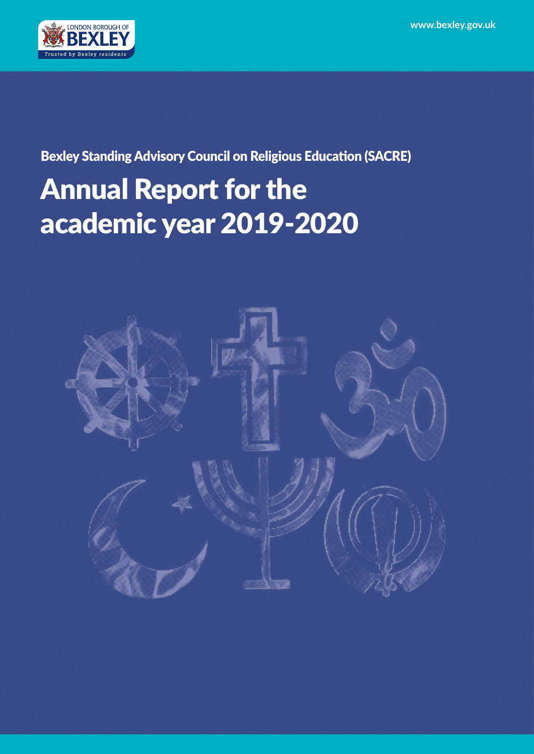

Bexley Standing Advisory Council on Religious Education (SACRE)

# Annual Report for the academic year 2019-2020

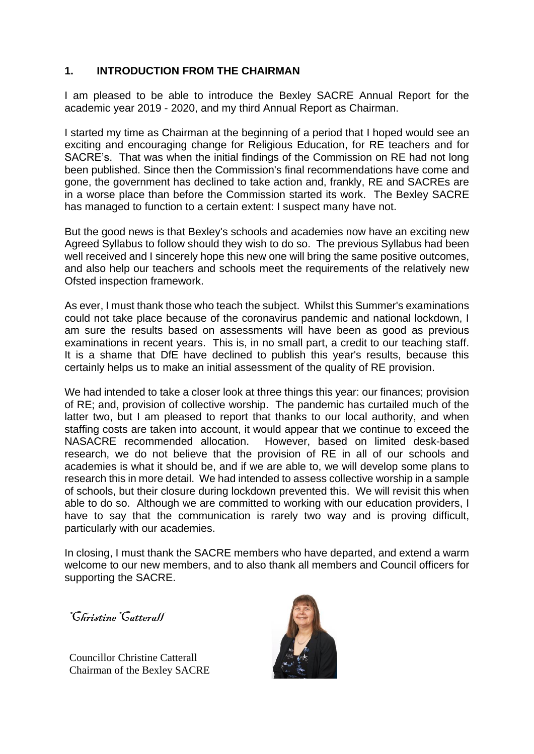## **1. INTRODUCTION FROM THE CHAIRMAN**

I am pleased to be able to introduce the Bexley SACRE Annual Report for the academic year 2019 - 2020, and my third Annual Report as Chairman.

I started my time as Chairman at the beginning of a period that I hoped would see an exciting and encouraging change for Religious Education, for RE teachers and for SACRE's. That was when the initial findings of the Commission on RE had not long been published. Since then the Commission's final recommendations have come and gone, the government has declined to take action and, frankly, RE and SACREs are in a worse place than before the Commission started its work. The Bexley SACRE has managed to function to a certain extent: I suspect many have not.

But the good news is that Bexley's schools and academies now have an exciting new Agreed Syllabus to follow should they wish to do so. The previous Syllabus had been well received and I sincerely hope this new one will bring the same positive outcomes, and also help our teachers and schools meet the requirements of the relatively new Ofsted inspection framework.

As ever, I must thank those who teach the subject. Whilst this Summer's examinations could not take place because of the coronavirus pandemic and national lockdown, I am sure the results based on assessments will have been as good as previous examinations in recent years. This is, in no small part, a credit to our teaching staff. It is a shame that DfE have declined to publish this year's results, because this certainly helps us to make an initial assessment of the quality of RE provision.

We had intended to take a closer look at three things this year: our finances; provision of RE; and, provision of collective worship. The pandemic has curtailed much of the latter two, but I am pleased to report that thanks to our local authority, and when staffing costs are taken into account, it would appear that we continue to exceed the NASACRE recommended allocation. However, based on limited desk-based research, we do not believe that the provision of RE in all of our schools and academies is what it should be, and if we are able to, we will develop some plans to research this in more detail. We had intended to assess collective worship in a sample of schools, but their closure during lockdown prevented this. We will revisit this when able to do so. Although we are committed to working with our education providers, I have to say that the communication is rarely two way and is proving difficult, particularly with our academies.

In closing, I must thank the SACRE members who have departed, and extend a warm welcome to our new members, and to also thank all members and Council officers for supporting the SACRE.

Christine Catterall

Councillor Christine Catterall Chairman of the Bexley SACRE

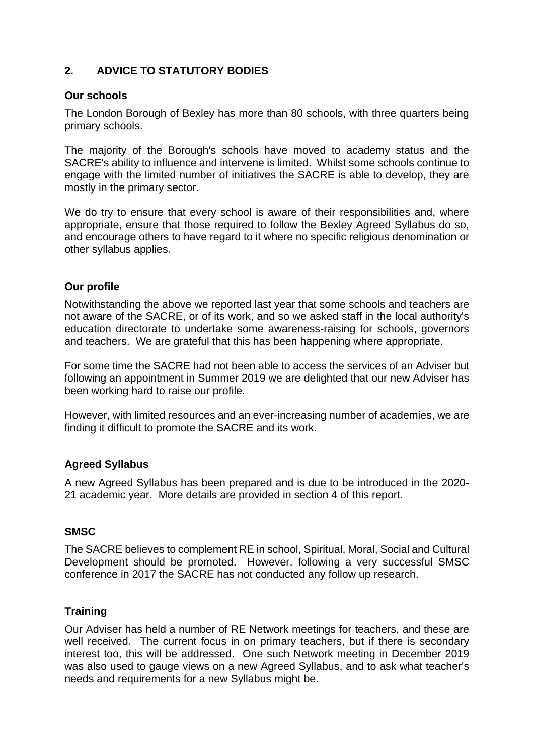## **2. ADVICE TO STATUTORY BODIES**

#### **Our schools**

The London Borough of Bexley has more than 80 schools, with three quarters being primary schools.

The majority of the Borough's schools have moved to academy status and the SACRE's ability to influence and intervene is limited. Whilst some schools continue to engage with the limited number of initiatives the SACRE is able to develop, they are mostly in the primary sector.

We do try to ensure that every school is aware of their responsibilities and, where appropriate, ensure that those required to follow the Bexley Agreed Syllabus do so, and encourage others to have regard to it where no specific religious denomination or other syllabus applies.

#### **Our profile**

Notwithstanding the above we reported last year that some schools and teachers are not aware of the SACRE, or of its work, and so we asked staff in the local authority's education directorate to undertake some awareness-raising for schools, governors and teachers. We are grateful that this has been happening where appropriate.

For some time the SACRE had not been able to access the services of an Adviser but following an appointment in Summer 2019 we are delighted that our new Adviser has been working hard to raise our profile.

However, with limited resources and an ever-increasing number of academies, we are finding it difficult to promote the SACRE and its work.

## **Agreed Syllabus**

A new Agreed Syllabus has been prepared and is due to be introduced in the 2020- 21 academic year. More details are provided in section 4 of this report.

## **SMSC**

The SACRE believes to complement RE in school, Spiritual, Moral, Social and Cultural Development should be promoted. However, following a very successful SMSC conference in 2017 the SACRE has not conducted any follow up research.

#### **Training**

Our Adviser has held a number of RE Network meetings for teachers, and these are well received. The current focus in on primary teachers, but if there is secondary interest too, this will be addressed. One such Network meeting in December 2019 was also used to gauge views on a new Agreed Syllabus, and to ask what teacher's needs and requirements for a new Syllabus might be.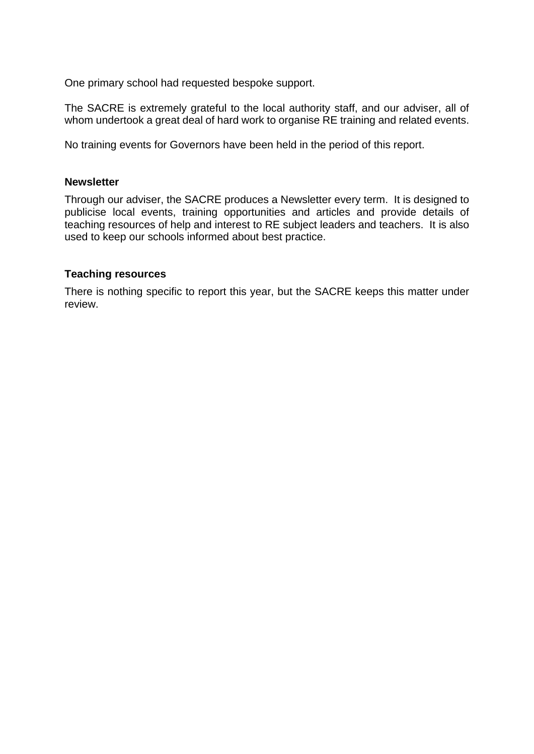One primary school had requested bespoke support.

The SACRE is extremely grateful to the local authority staff, and our adviser, all of whom undertook a great deal of hard work to organise RE training and related events.

No training events for Governors have been held in the period of this report.

#### **Newsletter**

Through our adviser, the SACRE produces a Newsletter every term. It is designed to publicise local events, training opportunities and articles and provide details of teaching resources of help and interest to RE subject leaders and teachers. It is also used to keep our schools informed about best practice.

#### **Teaching resources**

There is nothing specific to report this year, but the SACRE keeps this matter under review.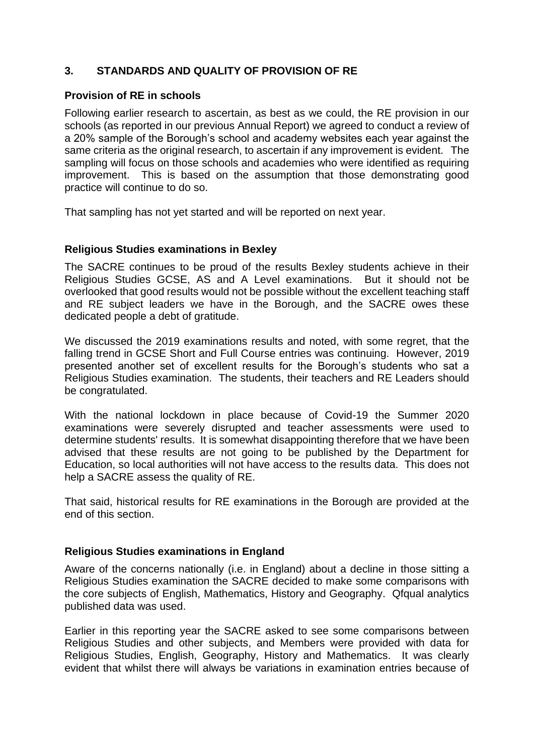## **3. STANDARDS AND QUALITY OF PROVISION OF RE**

#### **Provision of RE in schools**

Following earlier research to ascertain, as best as we could, the RE provision in our schools (as reported in our previous Annual Report) we agreed to conduct a review of a 20% sample of the Borough's school and academy websites each year against the same criteria as the original research, to ascertain if any improvement is evident. The sampling will focus on those schools and academies who were identified as requiring improvement. This is based on the assumption that those demonstrating good practice will continue to do so.

That sampling has not yet started and will be reported on next year.

#### **Religious Studies examinations in Bexley**

The SACRE continues to be proud of the results Bexley students achieve in their Religious Studies GCSE, AS and A Level examinations. But it should not be overlooked that good results would not be possible without the excellent teaching staff and RE subject leaders we have in the Borough, and the SACRE owes these dedicated people a debt of gratitude.

We discussed the 2019 examinations results and noted, with some regret, that the falling trend in GCSE Short and Full Course entries was continuing. However, 2019 presented another set of excellent results for the Borough's students who sat a Religious Studies examination. The students, their teachers and RE Leaders should be congratulated.

With the national lockdown in place because of Covid-19 the Summer 2020 examinations were severely disrupted and teacher assessments were used to determine students' results. It is somewhat disappointing therefore that we have been advised that these results are not going to be published by the Department for Education, so local authorities will not have access to the results data. This does not help a SACRE assess the quality of RE.

That said, historical results for RE examinations in the Borough are provided at the end of this section.

#### **Religious Studies examinations in England**

Aware of the concerns nationally (i.e. in England) about a decline in those sitting a Religious Studies examination the SACRE decided to make some comparisons with the core subjects of English, Mathematics, History and Geography. Qfqual analytics published data was used.

Earlier in this reporting year the SACRE asked to see some comparisons between Religious Studies and other subjects, and Members were provided with data for Religious Studies, English, Geography, History and Mathematics. It was clearly evident that whilst there will always be variations in examination entries because of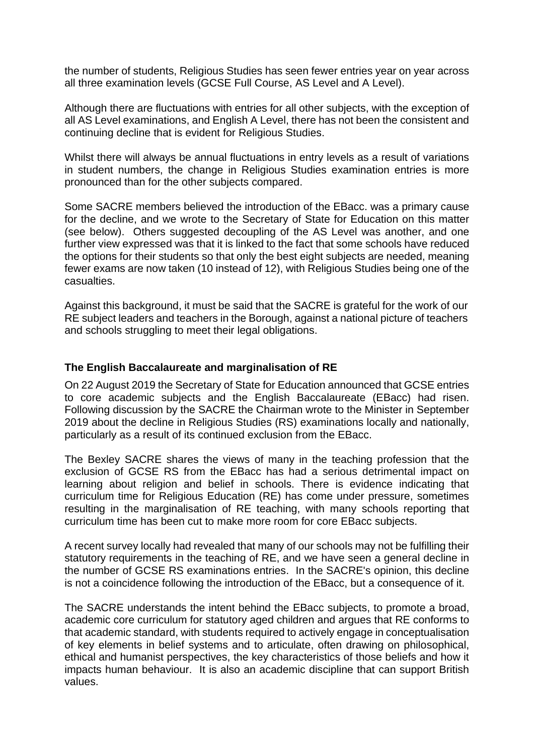the number of students, Religious Studies has seen fewer entries year on year across all three examination levels (GCSE Full Course, AS Level and A Level).

Although there are fluctuations with entries for all other subjects, with the exception of all AS Level examinations, and English A Level, there has not been the consistent and continuing decline that is evident for Religious Studies.

Whilst there will always be annual fluctuations in entry levels as a result of variations in student numbers, the change in Religious Studies examination entries is more pronounced than for the other subjects compared.

Some SACRE members believed the introduction of the EBacc. was a primary cause for the decline, and we wrote to the Secretary of State for Education on this matter (see below). Others suggested decoupling of the AS Level was another, and one further view expressed was that it is linked to the fact that some schools have reduced the options for their students so that only the best eight subjects are needed, meaning fewer exams are now taken (10 instead of 12), with Religious Studies being one of the casualties.

Against this background, it must be said that the SACRE is grateful for the work of our RE subject leaders and teachers in the Borough, against a national picture of teachers and schools struggling to meet their legal obligations.

#### **The English Baccalaureate and marginalisation of RE**

On 22 August 2019 the Secretary of State for Education announced that GCSE entries to core academic subjects and the English Baccalaureate (EBacc) had risen. Following discussion by the SACRE the Chairman wrote to the Minister in September 2019 about the decline in Religious Studies (RS) examinations locally and nationally, particularly as a result of its continued exclusion from the EBacc.

The Bexley SACRE shares the views of many in the teaching profession that the exclusion of GCSE RS from the EBacc has had a serious detrimental impact on learning about religion and belief in schools. There is evidence indicating that curriculum time for Religious Education (RE) has come under pressure, sometimes resulting in the marginalisation of RE teaching, with many schools reporting that curriculum time has been cut to make more room for core EBacc subjects.

A recent survey locally had revealed that many of our schools may not be fulfilling their statutory requirements in the teaching of RE, and we have seen a general decline in the number of GCSE RS examinations entries. In the SACRE's opinion, this decline is not a coincidence following the introduction of the EBacc, but a consequence of it.

The SACRE understands the intent behind the EBacc subjects, to promote a broad, academic core curriculum for statutory aged children and argues that RE conforms to that academic standard, with students required to actively engage in conceptualisation of key elements in belief systems and to articulate, often drawing on philosophical, ethical and humanist perspectives, the key characteristics of those beliefs and how it impacts human behaviour. It is also an academic discipline that can support British values.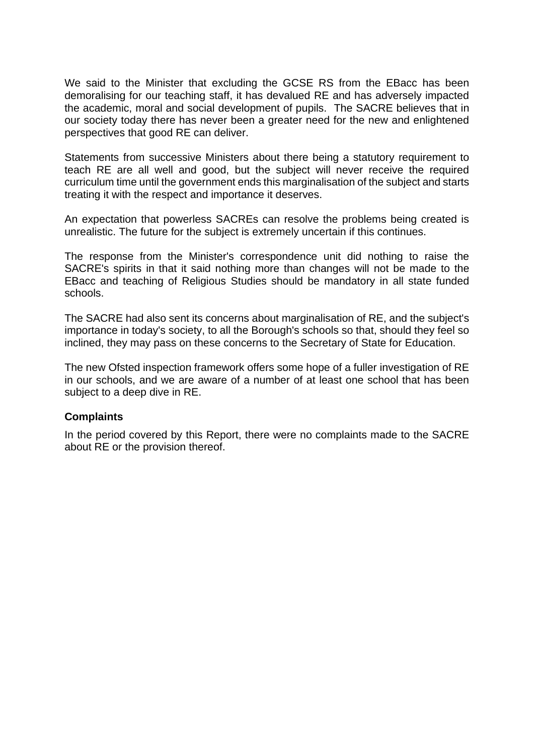We said to the Minister that excluding the GCSE RS from the EBacc has been demoralising for our teaching staff, it has devalued RE and has adversely impacted the academic, moral and social development of pupils. The SACRE believes that in our society today there has never been a greater need for the new and enlightened perspectives that good RE can deliver.

Statements from successive Ministers about there being a statutory requirement to teach RE are all well and good, but the subject will never receive the required curriculum time until the government ends this marginalisation of the subject and starts treating it with the respect and importance it deserves.

An expectation that powerless SACREs can resolve the problems being created is unrealistic. The future for the subject is extremely uncertain if this continues.

The response from the Minister's correspondence unit did nothing to raise the SACRE's spirits in that it said nothing more than changes will not be made to the EBacc and teaching of Religious Studies should be mandatory in all state funded schools.

The SACRE had also sent its concerns about marginalisation of RE, and the subject's importance in today's society, to all the Borough's schools so that, should they feel so inclined, they may pass on these concerns to the Secretary of State for Education.

The new Ofsted inspection framework offers some hope of a fuller investigation of RE in our schools, and we are aware of a number of at least one school that has been subject to a deep dive in RE.

#### **Complaints**

In the period covered by this Report, there were no complaints made to the SACRE about RE or the provision thereof.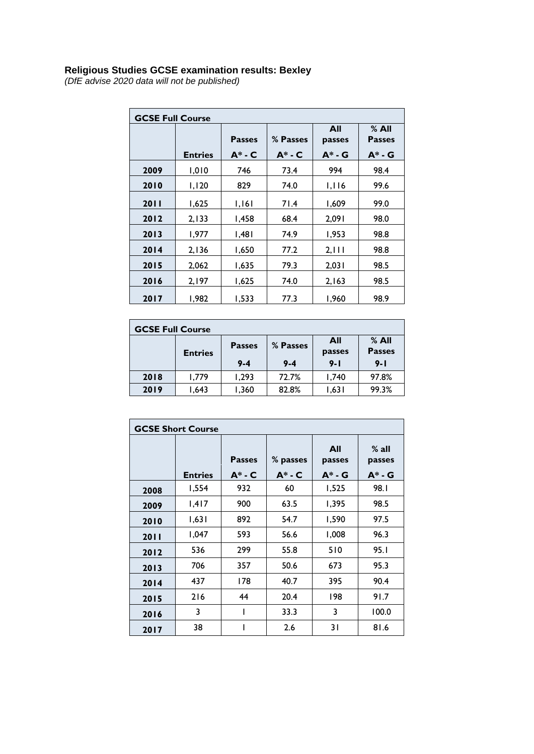#### **Religious Studies GCSE examination results: Bexley**

*(DfE advise 2020 data will not be published)*

| <b>GCSE Full Course</b> |                |                              |                         |                            |                                       |  |
|-------------------------|----------------|------------------------------|-------------------------|----------------------------|---------------------------------------|--|
|                         | <b>Entries</b> | <b>Passes</b><br>$A^*$ - $C$ | % Passes<br>$A^*$ - $C$ | All<br>passes<br>$A^*$ - G | $%$ All<br><b>Passes</b><br>$A^*$ - G |  |
|                         |                |                              |                         |                            |                                       |  |
| 2009                    | 1,010          | 746                          | 73.4                    | 994                        | 98.4                                  |  |
| 2010                    | 1,120          | 829                          | 74.0                    | 1,116                      | 99.6                                  |  |
| 2011                    | 1,625          | 1,161                        | 71.4                    | 1,609                      | 99.0                                  |  |
| 2012                    | 2,133          | 1,458                        | 68.4                    | 2,091                      | 98.0                                  |  |
| 2013                    | 1,977          | 1,481                        | 74.9                    | 1,953                      | 98.8                                  |  |
| 2014                    | 2,136          | 1,650                        | 77.2                    | 2, 111                     | 98.8                                  |  |
| 2015                    | 2,062          | 1,635                        | 79.3                    | 2,031                      | 98.5                                  |  |
| 2016                    | 2,197          | 1,625                        | 74.0                    | 2,163                      | 98.5                                  |  |
| 2017                    | 1,982          | 1,533                        | 77.3                    | 1,960                      | 98.9                                  |  |

| <b>GCSE Full Course</b> |                |               |          |               |                        |  |
|-------------------------|----------------|---------------|----------|---------------|------------------------|--|
|                         | <b>Entries</b> | <b>Passes</b> | % Passes | All<br>passes | % All<br><b>Passes</b> |  |
|                         |                | $9 - 4$       | $9 - 4$  | $9 - 1$       | $9 - 1$                |  |
| 2018                    | 1,779          | 1.293         | 72.7%    | 1,740         | 97.8%                  |  |
| 2019                    | 1,643          | 1,360         | 82.8%    | 1,631         | 99.3%                  |  |

| <b>GCSE Short Course</b> |                |                              |                         |                              |                                |  |
|--------------------------|----------------|------------------------------|-------------------------|------------------------------|--------------------------------|--|
|                          | <b>Entries</b> | <b>Passes</b><br>$A^*$ - $C$ | % passes<br>$A^*$ - $C$ | All<br>passes<br>$A^*$ - $G$ | $%$ all<br>passes<br>$A^*$ - G |  |
| 2008                     | 1,554          | 932                          | 60                      | 1,525                        | 98.I                           |  |
| 2009                     | 1,417          | 900                          | 63.5                    | 1,395                        | 98.5                           |  |
| 2010                     | 1,631          | 892                          | 54.7                    | 1,590                        | 97.5                           |  |
| 2011                     | 1,047          | 593                          | 56.6                    | 1,008                        | 96.3                           |  |
| 2012                     | 536            | 299                          | 55.8                    | 510                          | 95.1                           |  |
| 2013                     | 706            | 357                          | 50.6                    | 673                          | 95.3                           |  |
| 2014                     | 437            | 178                          | 40.7                    | 395                          | 90.4                           |  |
| 2015                     | 216            | 44                           | 20.4                    | 198                          | 91.7                           |  |
| 2016                     | 3              |                              | 33.3                    | 3                            | 100.0                          |  |
| 2017                     | 38             |                              | 2.6                     | 31                           | 81.6                           |  |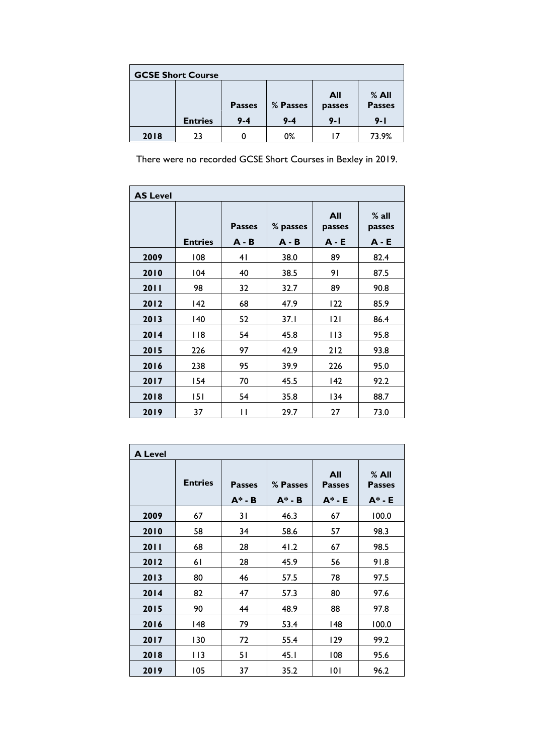| <b>GCSE Short Course</b> |                |                          |                     |                          |                                   |  |  |
|--------------------------|----------------|--------------------------|---------------------|--------------------------|-----------------------------------|--|--|
|                          | <b>Entries</b> | <b>Passes</b><br>$9 - 4$ | % Passes<br>$9 - 4$ | All<br>passes<br>$9 - 1$ | % All<br><b>Passes</b><br>$9 - 1$ |  |  |
| 2018                     | 23             | O                        | 0%                  | 17                       | 73.9%                             |  |  |

There were no recorded GCSE Short Courses in Bexley in 2019.

| <b>AS Level</b> |                |                          |                     |                          |                              |  |
|-----------------|----------------|--------------------------|---------------------|--------------------------|------------------------------|--|
|                 | <b>Entries</b> | <b>Passes</b><br>$A - B$ | % passes<br>$A - B$ | All<br>passes<br>$A - E$ | $%$ all<br>passes<br>$A - E$ |  |
| 2009            | 108            | 4 <sub>1</sub>           | 38.0                | 89                       | 82.4                         |  |
| 2010            | 104            | 40                       | 38.5                | 91                       | 87.5                         |  |
| 2011            | 98             | 32                       | 32.7                | 89                       | 90.8                         |  |
| 2012            | 142            | 68                       | 47.9                | 122                      | 85.9                         |  |
| 2013            | 140            | 52                       | 37.1                | 2                        | 86.4                         |  |
| 2014            | <b>118</b>     | 54                       | 45.8                | 113                      | 95.8                         |  |
| 2015            | 226            | 97                       | 42.9                | 212                      | 93.8                         |  |
| 2016            | 238            | 95                       | 39.9                | 226                      | 95.0                         |  |
| 2017            | 154            | 70                       | 45.5                | 142                      | 92.2                         |  |
| 2018            | 151            | 54                       | 35.8                | 134                      | 88.7                         |  |
| 2019            | 37             | П                        | 29.7                | 27                       | 73.0                         |  |

| <b>A Level</b> |                |                            |                       |                                   |                                       |  |
|----------------|----------------|----------------------------|-----------------------|-----------------------------------|---------------------------------------|--|
|                | <b>Entries</b> | <b>Passes</b><br>$A^* - B$ | % Passes<br>$A^* - B$ | All<br><b>Passes</b><br>$A^*$ - E | $%$ All<br><b>Passes</b><br>$A^*$ - E |  |
| 2009           | 67             | 31                         | 46.3                  | 67                                | 100.0                                 |  |
| 2010           | 58             | 34                         | 58.6                  | 57                                | 98.3                                  |  |
| 2011           | 68             | 28                         | 41.2                  | 67                                | 98.5                                  |  |
| 2012           | 61             | 28                         | 45.9                  | 56                                | 91.8                                  |  |
| 2013           | 80             | 46                         | 57.5                  | 78                                | 97.5                                  |  |
| 2014           | 82             | 47                         | 57.3                  | 80                                | 97.6                                  |  |
| 2015           | 90             | 44                         | 48.9                  | 88                                | 97.8                                  |  |
| 2016           | 148            | 79                         | 53.4                  | 148                               | 100.0                                 |  |
| 2017           | 130            | 72                         | 55.4                  | 129                               | 99.2                                  |  |
| 2018           | 113            | 51                         | 45. I                 | 108                               | 95.6                                  |  |
| 2019           | 105            | 37                         | 35.2                  | 101                               | 96.2                                  |  |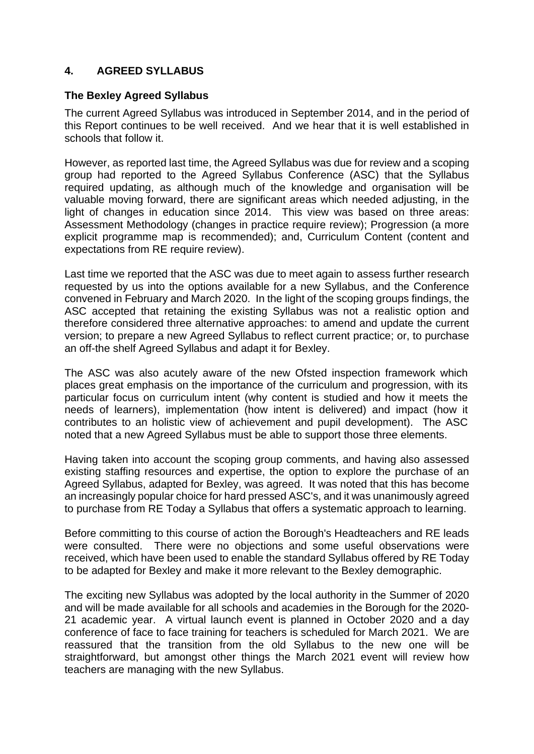#### **4. AGREED SYLLABUS**

#### **The Bexley Agreed Syllabus**

The current Agreed Syllabus was introduced in September 2014, and in the period of this Report continues to be well received. And we hear that it is well established in schools that follow it.

However, as reported last time, the Agreed Syllabus was due for review and a scoping group had reported to the Agreed Syllabus Conference (ASC) that the Syllabus required updating, as although much of the knowledge and organisation will be valuable moving forward, there are significant areas which needed adjusting, in the light of changes in education since 2014. This view was based on three areas: Assessment Methodology (changes in practice require review); Progression (a more explicit programme map is recommended); and, Curriculum Content (content and expectations from RE require review).

Last time we reported that the ASC was due to meet again to assess further research requested by us into the options available for a new Syllabus, and the Conference convened in February and March 2020. In the light of the scoping groups findings, the ASC accepted that retaining the existing Syllabus was not a realistic option and therefore considered three alternative approaches: to amend and update the current version; to prepare a new Agreed Syllabus to reflect current practice; or, to purchase an off-the shelf Agreed Syllabus and adapt it for Bexley.

The ASC was also acutely aware of the new Ofsted inspection framework which places great emphasis on the importance of the curriculum and progression, with its particular focus on curriculum intent (why content is studied and how it meets the needs of learners), implementation (how intent is delivered) and impact (how it contributes to an holistic view of achievement and pupil development). The ASC noted that a new Agreed Syllabus must be able to support those three elements.

Having taken into account the scoping group comments, and having also assessed existing staffing resources and expertise, the option to explore the purchase of an Agreed Syllabus, adapted for Bexley, was agreed. It was noted that this has become an increasingly popular choice for hard pressed ASC's, and it was unanimously agreed to purchase from RE Today a Syllabus that offers a systematic approach to learning.

Before committing to this course of action the Borough's Headteachers and RE leads were consulted. There were no objections and some useful observations were received, which have been used to enable the standard Syllabus offered by RE Today to be adapted for Bexley and make it more relevant to the Bexley demographic.

The exciting new Syllabus was adopted by the local authority in the Summer of 2020 and will be made available for all schools and academies in the Borough for the 2020- 21 academic year. A virtual launch event is planned in October 2020 and a day conference of face to face training for teachers is scheduled for March 2021. We are reassured that the transition from the old Syllabus to the new one will be straightforward, but amongst other things the March 2021 event will review how teachers are managing with the new Syllabus.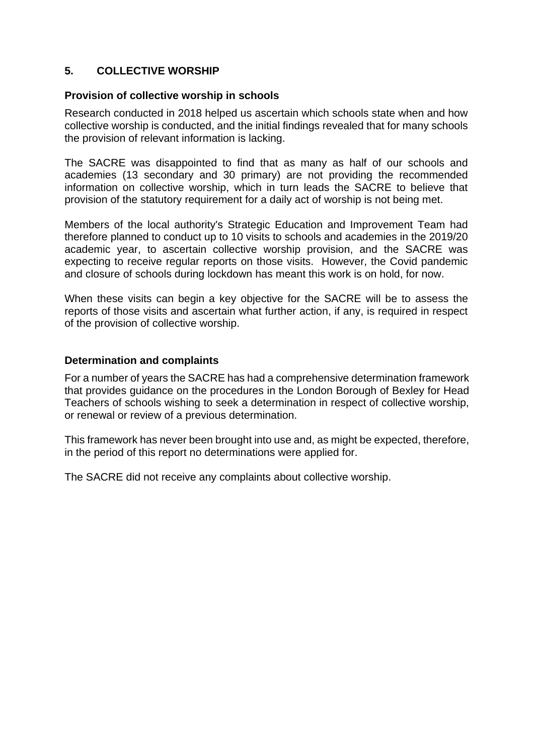#### **5. COLLECTIVE WORSHIP**

#### **Provision of collective worship in schools**

Research conducted in 2018 helped us ascertain which schools state when and how collective worship is conducted, and the initial findings revealed that for many schools the provision of relevant information is lacking.

The SACRE was disappointed to find that as many as half of our schools and academies (13 secondary and 30 primary) are not providing the recommended information on collective worship, which in turn leads the SACRE to believe that provision of the statutory requirement for a daily act of worship is not being met.

Members of the local authority's Strategic Education and Improvement Team had therefore planned to conduct up to 10 visits to schools and academies in the 2019/20 academic year, to ascertain collective worship provision, and the SACRE was expecting to receive regular reports on those visits. However, the Covid pandemic and closure of schools during lockdown has meant this work is on hold, for now.

When these visits can begin a key objective for the SACRE will be to assess the reports of those visits and ascertain what further action, if any, is required in respect of the provision of collective worship.

#### **Determination and complaints**

For a number of years the SACRE has had a comprehensive determination framework that provides guidance on the procedures in the London Borough of Bexley for Head Teachers of schools wishing to seek a determination in respect of collective worship, or renewal or review of a previous determination.

This framework has never been brought into use and, as might be expected, therefore, in the period of this report no determinations were applied for.

The SACRE did not receive any complaints about collective worship.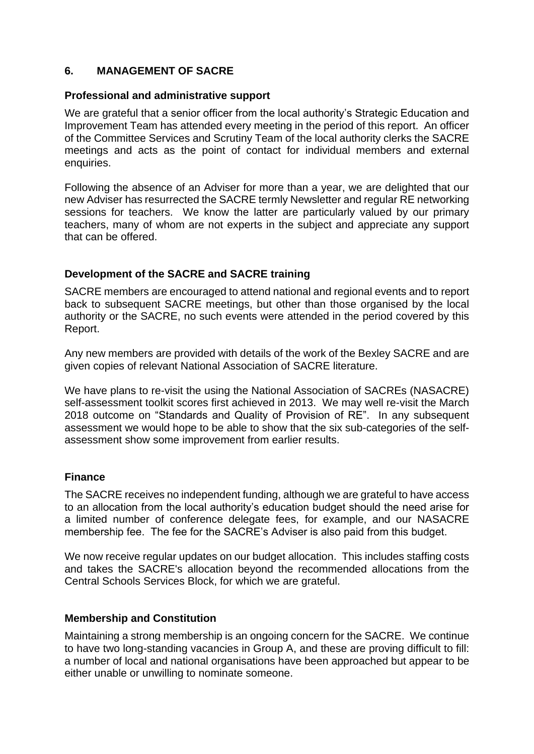#### **6. MANAGEMENT OF SACRE**

#### **Professional and administrative support**

We are grateful that a senior officer from the local authority's Strategic Education and Improvement Team has attended every meeting in the period of this report. An officer of the Committee Services and Scrutiny Team of the local authority clerks the SACRE meetings and acts as the point of contact for individual members and external enquiries.

Following the absence of an Adviser for more than a year, we are delighted that our new Adviser has resurrected the SACRE termly Newsletter and regular RE networking sessions for teachers. We know the latter are particularly valued by our primary teachers, many of whom are not experts in the subject and appreciate any support that can be offered.

#### **Development of the SACRE and SACRE training**

SACRE members are encouraged to attend national and regional events and to report back to subsequent SACRE meetings, but other than those organised by the local authority or the SACRE, no such events were attended in the period covered by this Report.

Any new members are provided with details of the work of the Bexley SACRE and are given copies of relevant National Association of SACRE literature.

We have plans to re-visit the using the National Association of SACREs (NASACRE) self-assessment toolkit scores first achieved in 2013. We may well re-visit the March 2018 outcome on "Standards and Quality of Provision of RE". In any subsequent assessment we would hope to be able to show that the six sub-categories of the selfassessment show some improvement from earlier results.

#### **Finance**

The SACRE receives no independent funding, although we are grateful to have access to an allocation from the local authority's education budget should the need arise for a limited number of conference delegate fees, for example, and our NASACRE membership fee. The fee for the SACRE's Adviser is also paid from this budget.

We now receive regular updates on our budget allocation. This includes staffing costs and takes the SACRE's allocation beyond the recommended allocations from the Central Schools Services Block, for which we are grateful.

#### **Membership and Constitution**

Maintaining a strong membership is an ongoing concern for the SACRE. We continue to have two long-standing vacancies in Group A, and these are proving difficult to fill: a number of local and national organisations have been approached but appear to be either unable or unwilling to nominate someone.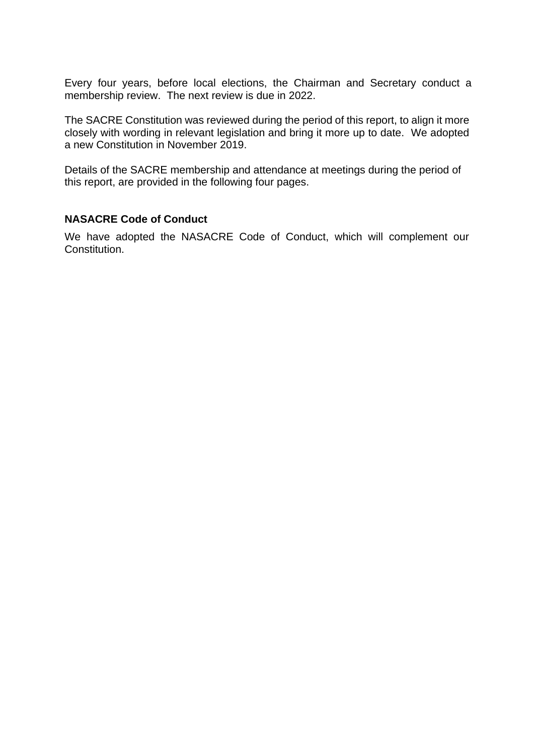Every four years, before local elections, the Chairman and Secretary conduct a membership review. The next review is due in 2022.

The SACRE Constitution was reviewed during the period of this report, to align it more closely with wording in relevant legislation and bring it more up to date. We adopted a new Constitution in November 2019.

Details of the SACRE membership and attendance at meetings during the period of this report, are provided in the following four pages.

#### **NASACRE Code of Conduct**

We have adopted the NASACRE Code of Conduct, which will complement our Constitution.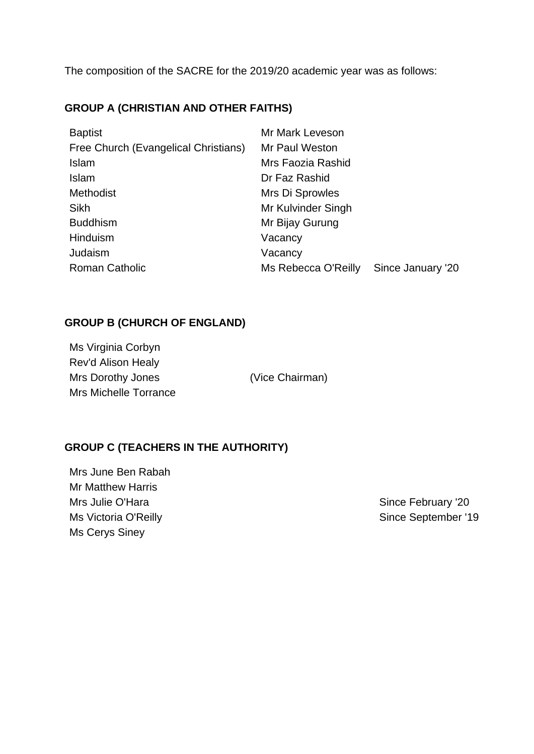The composition of the SACRE for the 2019/20 academic year was as follows:

## **GROUP A (CHRISTIAN AND OTHER FAITHS)**

| <b>Baptist</b>                       | Mr Mark Leveson     |                   |
|--------------------------------------|---------------------|-------------------|
| Free Church (Evangelical Christians) | Mr Paul Weston      |                   |
| Islam                                | Mrs Faozia Rashid   |                   |
| <b>Islam</b>                         | Dr Faz Rashid       |                   |
| Methodist                            | Mrs Di Sprowles     |                   |
| <b>Sikh</b>                          | Mr Kulvinder Singh  |                   |
| <b>Buddhism</b>                      | Mr Bijay Gurung     |                   |
| Hinduism                             | Vacancy             |                   |
| Judaism                              | Vacancy             |                   |
| <b>Roman Catholic</b>                | Ms Rebecca O'Reilly | Since January '20 |

## **GROUP B (CHURCH OF ENGLAND)**

Ms Virginia Corbyn Rev'd Alison Healy Mrs Dorothy Jones (Vice Chairman) Mrs Michelle Torrance

## **GROUP C (TEACHERS IN THE AUTHORITY)**

Mrs June Ben Rabah Mr Matthew Harris Mrs Julie O'Hara **Since February '20** Ms Victoria O'Reilly **Since September '19** Ms Cerys Siney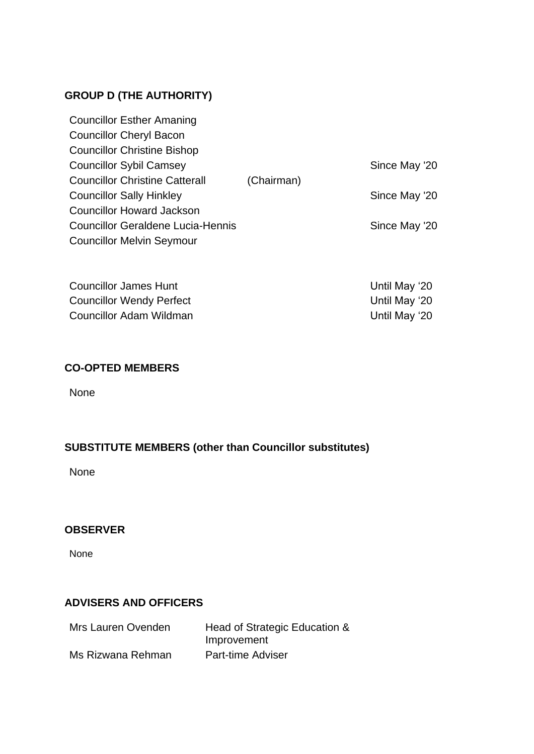## **GROUP D (THE AUTHORITY)**

| <b>Councillor Esther Amaning</b>         |            |               |
|------------------------------------------|------------|---------------|
| <b>Councillor Cheryl Bacon</b>           |            |               |
| <b>Councillor Christine Bishop</b>       |            |               |
| <b>Councillor Sybil Camsey</b>           |            | Since May '20 |
| <b>Councillor Christine Catterall</b>    | (Chairman) |               |
| <b>Councillor Sally Hinkley</b>          |            | Since May '20 |
| <b>Councillor Howard Jackson</b>         |            |               |
| <b>Councillor Geraldene Lucia-Hennis</b> |            | Since May '20 |
| <b>Councillor Melvin Seymour</b>         |            |               |

Councillor James Hunt **Councillor James Hunt** 20 Councillor Wendy Perfect Councillor Wendy Perfect Councillor Adam Wildman **Councillor Adam Wildman** 

### **CO-OPTED MEMBERS**

None

## **SUBSTITUTE MEMBERS (other than Councillor substitutes)**

None

## **OBSERVER**

None

## **ADVISERS AND OFFICERS**

| Mrs Lauren Ovenden | Head of Strategic Education &<br>Improvement |
|--------------------|----------------------------------------------|
| Ms Rizwana Rehman  | <b>Part-time Adviser</b>                     |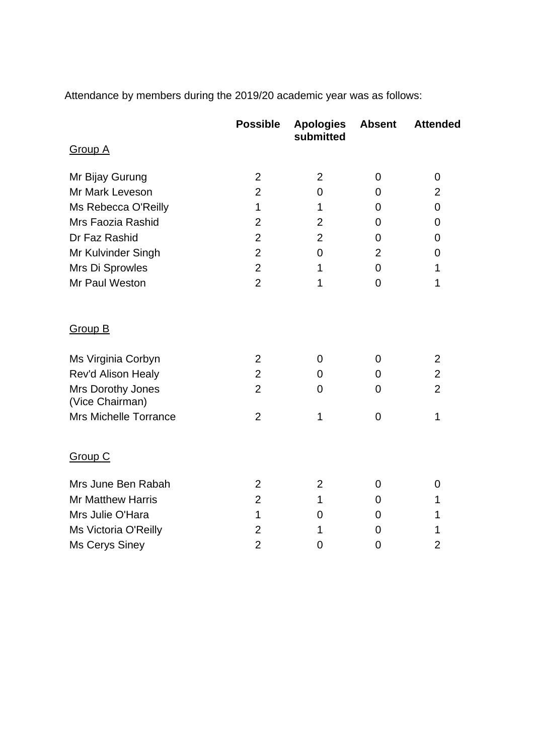Attendance by members during the 2019/20 academic year was as follows:

|                                      | <b>Possible</b> | <b>Apologies</b><br>submitted | <b>Absent</b>  | <b>Attended</b> |
|--------------------------------------|-----------------|-------------------------------|----------------|-----------------|
| <b>Group A</b>                       |                 |                               |                |                 |
| Mr Bijay Gurung                      | $\overline{2}$  | $\overline{2}$                | 0              | 0               |
| Mr Mark Leveson                      | $\overline{2}$  | $\overline{0}$                | 0              | $\overline{2}$  |
| Ms Rebecca O'Reilly                  | 1               | 1                             | 0              | $\overline{0}$  |
| Mrs Faozia Rashid                    | $\overline{2}$  | $\overline{2}$                | 0              | $\mathbf 0$     |
| Dr Faz Rashid                        | $\overline{2}$  | $\overline{2}$                | 0              | 0               |
| Mr Kulvinder Singh                   | $\overline{2}$  | $\overline{0}$                | $\overline{2}$ | 0               |
| Mrs Di Sprowles                      | $\overline{2}$  | 1                             | $\mathbf 0$    | 1               |
| Mr Paul Weston                       | $\overline{2}$  | 1                             | $\overline{0}$ | 1               |
| <b>Group B</b>                       |                 |                               |                |                 |
| Ms Virginia Corbyn                   | $\overline{2}$  | $\overline{0}$                | 0              | $\overline{2}$  |
| Rev'd Alison Healy                   | $\overline{2}$  | $\mathbf 0$                   | 0              | $\overline{2}$  |
| Mrs Dorothy Jones<br>(Vice Chairman) | $\overline{2}$  | $\overline{0}$                | 0              | $\overline{2}$  |
| <b>Mrs Michelle Torrance</b>         | $\overline{2}$  | 1                             | $\mathbf 0$    | 1               |
| <b>Group C</b>                       |                 |                               |                |                 |
| Mrs June Ben Rabah                   | $\overline{2}$  | $\overline{2}$                | 0              | 0               |
| <b>Mr Matthew Harris</b>             | $\overline{2}$  | 1                             | 0              | 1               |
| Mrs Julie O'Hara                     | 1               | $\overline{0}$                | 0              | 1               |
| Ms Victoria O'Reilly                 | $\overline{2}$  | 1                             | 0              | 1               |
| Ms Cerys Siney                       | $\overline{2}$  | 0                             | $\overline{0}$ | $\overline{2}$  |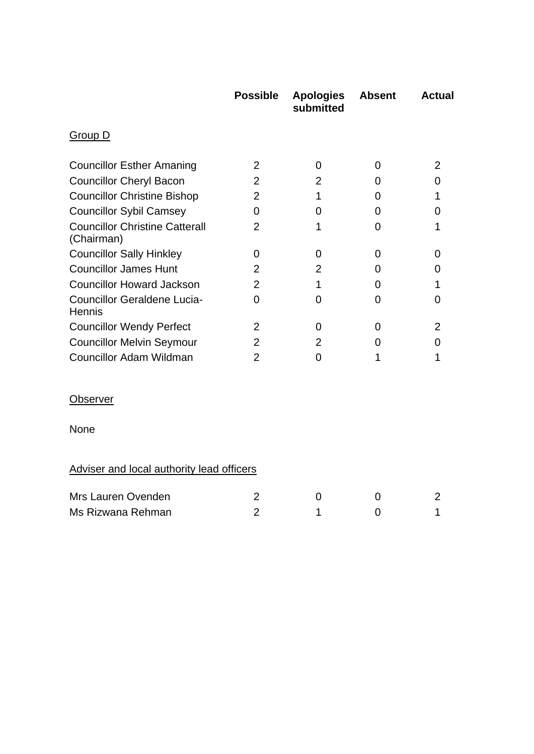|                                                     | <b>Possible</b> | <b>Apologies</b><br>submitted | <b>Absent</b>  | <b>Actual</b>  |  |  |
|-----------------------------------------------------|-----------------|-------------------------------|----------------|----------------|--|--|
| <b>Group D</b>                                      |                 |                               |                |                |  |  |
| <b>Councillor Esther Amaning</b>                    | $\overline{2}$  | 0                             | 0              | $\overline{2}$ |  |  |
| <b>Councillor Cheryl Bacon</b>                      | $\overline{2}$  | $\overline{2}$                | 0              | $\Omega$       |  |  |
| <b>Councillor Christine Bishop</b>                  | $\overline{2}$  | 1                             | 0              | 1              |  |  |
| <b>Councillor Sybil Camsey</b>                      | 0               | 0                             | 0              | 0              |  |  |
| <b>Councillor Christine Catterall</b><br>(Chairman) | $\overline{2}$  | 1                             | 0              | 1              |  |  |
| <b>Councillor Sally Hinkley</b>                     | 0               | 0                             | 0              | 0              |  |  |
| <b>Councillor James Hunt</b>                        | 2               | $\overline{2}$                | 0              | 0              |  |  |
| <b>Councillor Howard Jackson</b>                    | $\overline{2}$  | 1                             | 0              | 1              |  |  |
| <b>Councillor Geraldene Lucia-</b><br>Hennis        | 0               | 0                             | $\overline{0}$ | $\overline{0}$ |  |  |
| <b>Councillor Wendy Perfect</b>                     | 2               | 0                             | 0              | 2              |  |  |
| <b>Councillor Melvin Seymour</b>                    | $\overline{2}$  | $\overline{2}$                | 0              | $\overline{0}$ |  |  |
| <b>Councillor Adam Wildman</b>                      | $\overline{2}$  | 0                             | 1              | 1              |  |  |
| <b>Observer</b>                                     |                 |                               |                |                |  |  |
| <b>None</b>                                         |                 |                               |                |                |  |  |
| Adviser and local authority lead officers           |                 |                               |                |                |  |  |
| Mrs Lauren Ovenden                                  | $\overline{2}$  | 0                             | 0              | 2              |  |  |
| Ms Rizwana Rehman                                   | $\overline{2}$  | 1                             | 0              | 1              |  |  |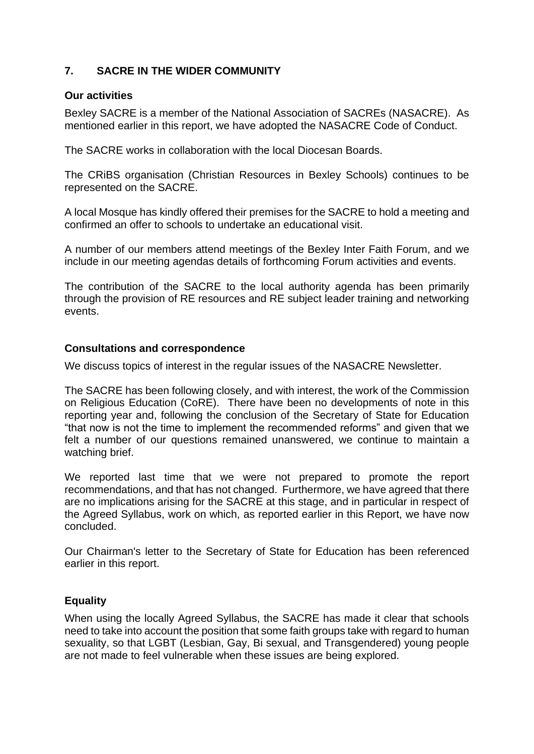## **7. SACRE IN THE WIDER COMMUNITY**

#### **Our activities**

Bexley SACRE is a member of the National Association of SACREs (NASACRE). As mentioned earlier in this report, we have adopted the NASACRE Code of Conduct.

The SACRE works in collaboration with the local Diocesan Boards.

The CRiBS organisation (Christian Resources in Bexley Schools) continues to be represented on the SACRE.

A local Mosque has kindly offered their premises for the SACRE to hold a meeting and confirmed an offer to schools to undertake an educational visit.

A number of our members attend meetings of the Bexley Inter Faith Forum, and we include in our meeting agendas details of forthcoming Forum activities and events.

The contribution of the SACRE to the local authority agenda has been primarily through the provision of RE resources and RE subject leader training and networking events.

#### **Consultations and correspondence**

We discuss topics of interest in the regular issues of the NASACRE Newsletter.

The SACRE has been following closely, and with interest, the work of the Commission on Religious Education (CoRE). There have been no developments of note in this reporting year and, following the conclusion of the Secretary of State for Education "that now is not the time to implement the recommended reforms" and given that we felt a number of our questions remained unanswered, we continue to maintain a watching brief.

We reported last time that we were not prepared to promote the report recommendations, and that has not changed. Furthermore, we have agreed that there are no implications arising for the SACRE at this stage, and in particular in respect of the Agreed Syllabus, work on which, as reported earlier in this Report, we have now concluded.

Our Chairman's letter to the Secretary of State for Education has been referenced earlier in this report.

## **Equality**

When using the locally Agreed Syllabus, the SACRE has made it clear that schools need to take into account the position that some faith groups take with regard to human sexuality, so that LGBT (Lesbian, Gay, Bi sexual, and Transgendered) young people are not made to feel vulnerable when these issues are being explored.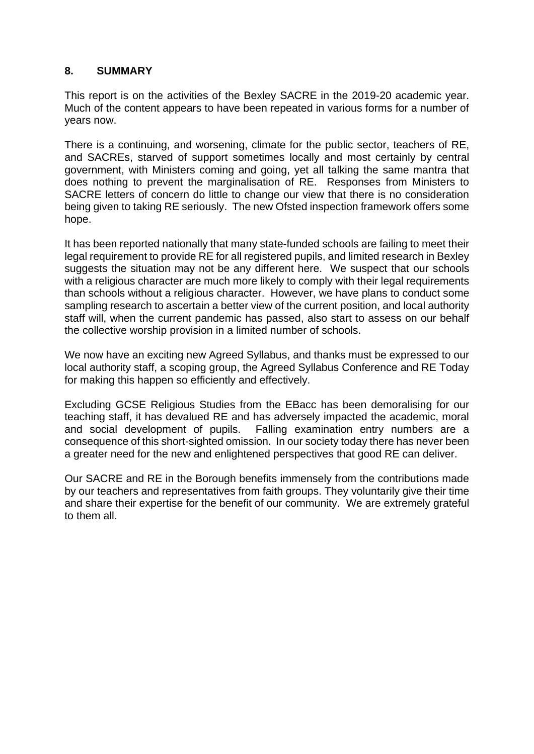#### **8. SUMMARY**

This report is on the activities of the Bexley SACRE in the 2019-20 academic year. Much of the content appears to have been repeated in various forms for a number of years now.

There is a continuing, and worsening, climate for the public sector, teachers of RE, and SACREs, starved of support sometimes locally and most certainly by central government, with Ministers coming and going, yet all talking the same mantra that does nothing to prevent the marginalisation of RE. Responses from Ministers to SACRE letters of concern do little to change our view that there is no consideration being given to taking RE seriously. The new Ofsted inspection framework offers some hope.

It has been reported nationally that many state-funded schools are failing to meet their legal requirement to provide RE for all registered pupils, and limited research in Bexley suggests the situation may not be any different here. We suspect that our schools with a religious character are much more likely to comply with their legal requirements than schools without a religious character. However, we have plans to conduct some sampling research to ascertain a better view of the current position, and local authority staff will, when the current pandemic has passed, also start to assess on our behalf the collective worship provision in a limited number of schools.

We now have an exciting new Agreed Syllabus, and thanks must be expressed to our local authority staff, a scoping group, the Agreed Syllabus Conference and RE Today for making this happen so efficiently and effectively.

Excluding GCSE Religious Studies from the EBacc has been demoralising for our teaching staff, it has devalued RE and has adversely impacted the academic, moral and social development of pupils. Falling examination entry numbers are a consequence of this short-sighted omission. In our society today there has never been a greater need for the new and enlightened perspectives that good RE can deliver.

Our SACRE and RE in the Borough benefits immensely from the contributions made by our teachers and representatives from faith groups. They voluntarily give their time and share their expertise for the benefit of our community. We are extremely grateful to them all.